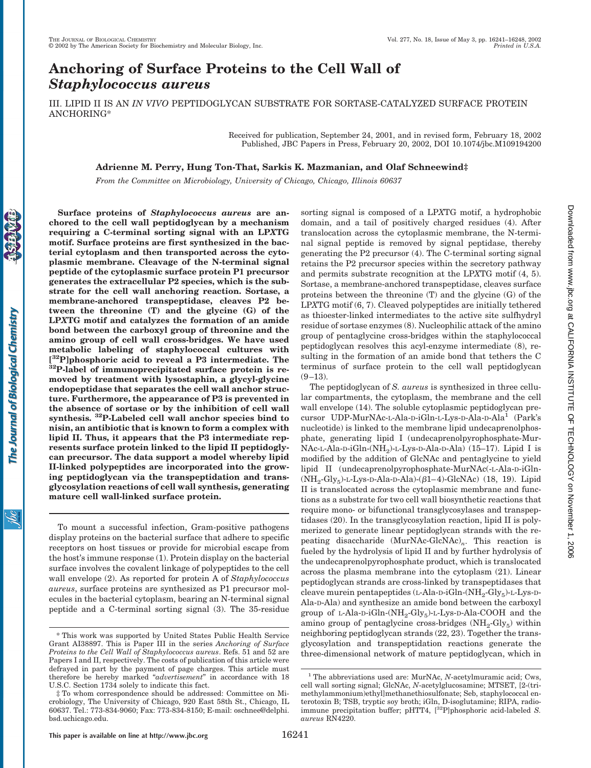# **Anchoring of Surface Proteins to the Cell Wall of** *Staphylococcus aureus*

**Surface proteins of** *Staphylococcus aureus* **are anchored to the cell wall peptidoglycan by a mechanism requiring a C-terminal sorting signal with an LP***X***TG motif. Surface proteins are first synthesized in the bac-**

III. LIPID II IS AN *IN VIVO* PEPTIDOGLYCAN SUBSTRATE FOR SORTASE-CATALYZED SURFACE PROTEIN ANCHORING\*

> Received for publication, September 24, 2001, and in revised form, February 18, 2002 Published, JBC Papers in Press, February 20, 2002, DOI 10.1074/jbc.M109194200

## **Adrienne M. Perry, Hung Ton-That, Sarkis K. Mazmanian, and Olaf Schneewind‡**

*From the Committee on Microbiology, University of Chicago, Chicago, Illinois 60637*

jбс

**terial cytoplasm and then transported across the cytoplasmic membrane. Cleavage of the N-terminal signal peptide of the cytoplasmic surface protein P1 precursor generates the extracellular P2 species, which is the substrate for the cell wall anchoring reaction. Sortase, a membrane-anchored transpeptidase, cleaves P2 between the threonine (T) and the glycine (G) of the LP***X***TG motif and catalyzes the formation of an amide bond between the carboxyl group of threonine and the amino group of cell wall cross-bridges. We have used metabolic labeling of staphylococcal cultures with** <sup>[32</sup>P]phosphoric acid to reveal a P3 intermediate. The <sup>32</sup>P-label of immunoprecipitated surface protein is re**moved by treatment with lysostaphin, a glycyl-glycine endopeptidase that separates the cell wall anchor structure. Furthermore, the appearance of P3 is prevented in the absence of sortase or by the inhibition of cell wall synthesis. 32P-Labeled cell wall anchor species bind to nisin, an antibiotic that is known to form a complex with lipid II. Thus, it appears that the P3 intermediate represents surface protein linked to the lipid II peptidoglycan precursor. The data support a model whereby lipid II-linked polypeptides are incorporated into the growing peptidoglycan via the transpeptidation and transglycosylation reactions of cell wall synthesis, generating mature cell wall-linked surface protein.**

To mount a successful infection, Gram-positive pathogens display proteins on the bacterial surface that adhere to specific receptors on host tissues or provide for microbial escape from the host's immune response (1). Protein display on the bacterial surface involves the covalent linkage of polypeptides to the cell wall envelope (2). As reported for protein A of *Staphylococcus aureus*, surface proteins are synthesized as P1 precursor molecules in the bacterial cytoplasm, bearing an N-terminal signal peptide and a C-terminal sorting signal (3). The 35-residue sorting signal is composed of a LP*X*TG motif, a hydrophobic domain, and a tail of positively charged residues (4). After translocation across the cytoplasmic membrane, the N-terminal signal peptide is removed by signal peptidase, thereby generating the P2 precursor (4). The C-terminal sorting signal retains the P2 precursor species within the secretory pathway and permits substrate recognition at the LP*X*TG motif (4, 5). Sortase, a membrane-anchored transpeptidase, cleaves surface proteins between the threonine (T) and the glycine (G) of the LP*X*TG motif (6, 7). Cleaved polypeptides are initially tethered as thioester-linked intermediates to the active site sulfhydryl residue of sortase enzymes (8). Nucleophilic attack of the amino group of pentaglycine cross-bridges within the staphylococcal peptidoglycan resolves this acyl-enzyme intermediate (8), resulting in the formation of an amide bond that tethers the C terminus of surface protein to the cell wall peptidoglycan  $(9-13)$ .

The peptidoglycan of *S. aureus* is synthesized in three cellular compartments, the cytoplasm, the membrane and the cell wall envelope (14). The soluble cytoplasmic peptidoglycan precursor UDP-MurNAc-L-Ala-D-iGln-L-Lys-D-Ala-D-Ala<sup>1</sup> (Park's nucleotide) is linked to the membrane lipid undecaprenolphosphate, generating lipid I (undecaprenolpyrophosphate-Mur-NAc-L-Ala-D-iGln-(NH<sub>2</sub>)-L-Lys-D-Ala-D-Ala) (15-17). Lipid I is modified by the addition of GlcNAc and pentaglycine to yield lipid II (undecaprenolpyrophosphate-MurNAc(-L-Ala-D-iGln-  $(NH<sub>2</sub>-Gly<sub>5</sub>)$ -L-Lys-D-Ala-D-Ala)-( $\beta$ 1–4)-GlcNAc) (18, 19). Lipid II is translocated across the cytoplasmic membrane and functions as a substrate for two cell wall biosynthetic reactions that require mono- or bifunctional transglycosylases and transpeptidases (20). In the transglycosylation reaction, lipid II is polymerized to generate linear peptidoglycan strands with the repeating disaccharide (MurNAc-GlcNAc)*n*. This reaction is fueled by the hydrolysis of lipid II and by further hydrolysis of the undecaprenolpyrophosphate product, which is translocated across the plasma membrane into the cytoplasm (21). Linear peptidoglycan strands are cross-linked by transpeptidases that cleave murein pentapeptides  $(L-Ala-D-iGln-(NH<sub>2</sub>-Gly<sub>5</sub>)-L-Lys-D-$ Ala-D-Ala) and synthesize an amide bond between the carboxyl group of L-Ala-D-iGln- $(NH_2-Gly_5)$ -L-Lys-D-Ala-COOH and the amino group of pentaglycine cross-bridges  $(NH_2-Gly_5)$  within neighboring peptidoglycan strands (22, 23). Together the transglycosylation and transpeptidation reactions generate the three-dimensional network of mature peptidoglycan, which in

<sup>\*</sup> This work was supported by United States Public Health Service Grant AI38897. This is Paper III in the series *Anchoring of Surface Proteins to the Cell Wall of Staphylococcus aureus*. Refs. 51 and 52 are Papers I and II, respectively. The costs of publication of this article were defrayed in part by the payment of page charges. This article must therefore be hereby marked "*advertisement*" in accordance with 18 U.S.C. Section 1734 solely to indicate this fact.

<sup>‡</sup> To whom correspondence should be addressed: Committee on Microbiology, The University of Chicago, 920 East 58th St., Chicago, IL 60637. Tel.: 773-834-9060; Fax: 773-834-8150; E-mail: oschnee@delphi. bsd.uchicago.edu.

<sup>&</sup>lt;sup>1</sup> The abbreviations used are: MurNAc, *N*-acetylmuramic acid; Cws, cell wall sorting signal; GlcNAc, *N*-acetylglucosamine; MTSET, [2-(trimethylammonium)ethyl]methanethiosulfonate; Seb, staphylococcal enterotoxin B; TSB, tryptic soy broth; iGln, D-isoglutamine; RIPA, radioimmune precipitation buffer; pHTT4, [32P]phosphoric acid-labeled *S. aureus* RN4220.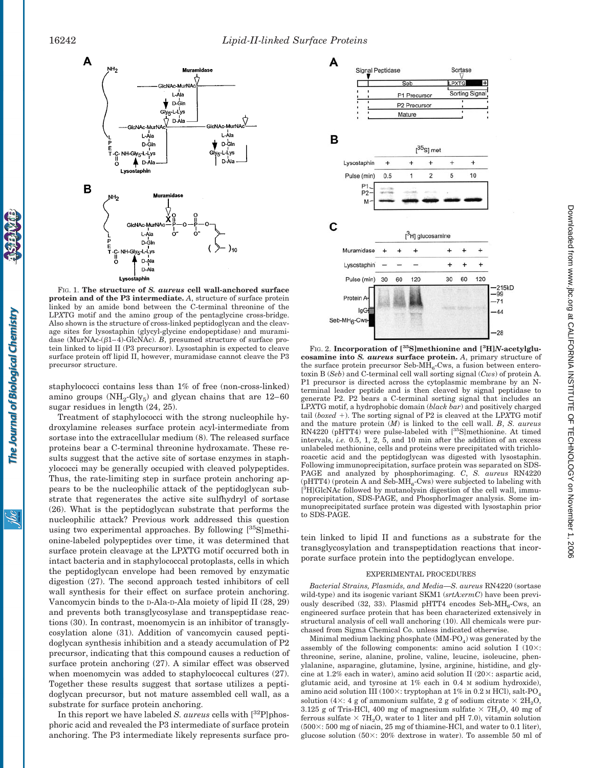

FIG. 1. **The structure of** *S. aureus* **cell wall-anchored surface protein and of the P3 intermediate.** *A*, structure of surface protein linked by an amide bond between the C-terminal threonine of the LP*X*TG motif and the amino group of the pentaglycine cross-bridge. Also shown is the structure of cross-linked peptidoglycan and the cleavage sites for lysostaphin (glycyl-glycine endopeptidase) and muramidase (MurNAc- $(\beta1-4)$ -GlcNAc). *B*, presumed structure of surface protein linked to lipid II (P3 precursor). Lysostaphin is expected to cleave surface protein off lipid II, however, muramidase cannot cleave the P3 precursor structure.

staphylococci contains less than 1% of free (non-cross-linked) amino groups  $(NH_2-Gly_5)$  and glycan chains that are 12–60 sugar residues in length (24, 25).

Treatment of staphylococci with the strong nucleophile hydroxylamine releases surface protein acyl-intermediate from sortase into the extracellular medium (8). The released surface proteins bear a C-terminal threonine hydroxamate. These results suggest that the active site of sortase enzymes in staphylococci may be generally occupied with cleaved polypeptides. Thus, the rate-limiting step in surface protein anchoring appears to be the nucleophilic attack of the peptidoglycan substrate that regenerates the active site sulfhydryl of sortase (26). What is the peptidoglycan substrate that performs the nucleophilic attack? Previous work addressed this question using two experimental approaches. By following  $[35S]$ methionine-labeled polypeptides over time, it was determined that surface protein cleavage at the LP*X*TG motif occurred both in intact bacteria and in staphylococcal protoplasts, cells in which the peptidoglycan envelope had been removed by enzymatic digestion (27). The second approach tested inhibitors of cell wall synthesis for their effect on surface protein anchoring. Vancomycin binds to the D-Ala-D-Ala moiety of lipid II (28, 29) and prevents both transglycosylase and transpeptidase reactions (30). In contrast, moenomycin is an inhibitor of transglycosylation alone (31). Addition of vancomycin caused peptidoglycan synthesis inhibition and a steady accumulation of P2 precursor, indicating that this compound causes a reduction of surface protein anchoring (27). A similar effect was observed when moenomycin was added to staphylococcal cultures  $(27)$ . Together these results suggest that sortase utilizes a peptidoglycan precursor, but not mature assembled cell wall, as a substrate for surface protein anchoring.

In this report we have labeled *S. aureus* cells with  $\binom{32}{1}$  phosphoric acid and revealed the P3 intermediate of surface protein anchoring. The P3 intermediate likely represents surface pro-



FIG. 2. **Incorporation of [35S]methionine and [3 H]***N***-acetylglucosamine into** *S. aureus* **surface protein.** *A*, primary structure of the surface protein precursor Seb- $\overline{MH}_6$ -Cws, a fusion between enterotoxin B (*Seb*) and C-terminal cell wall sorting signal (*Cws*) of protein A. P1 precursor is directed across the cytoplasmic membrane by an Nterminal leader peptide and is then cleaved by signal peptidase to generate P2. P2 bears a C-terminal sorting signal that includes an LP*X*TG motif, a hydrophobic domain (*black bar*) and positively charged tail (*boxed* -). The sorting signal of P2 is cleaved at the LP*X*TG motif and the mature protein (*M*) is linked to the cell wall. *B*, *S. aureus* RN4220 (pHTT4) were pulse-labeled with [<sup>35</sup>S]methionine. At timed intervals, *i.e.* 0.5, 1, 2, 5, and 10 min after the addition of an excess unlabeled methionine, cells and proteins were precipitated with trichloroacetic acid and the peptidoglycan was digested with lysostaphin. Following immunoprecipitation, surface protein was separated on SDS-PAGE and analyzed by phosphorimaging. *C*, *S. aureus* RN4220 (pHTT4) (protein A and Seb-MH<sub>6</sub>-Cws) were subjected to labeling with [<sup>3</sup>H]GlcNAc followed by mutanolysin digestion of the cell wall, immunoprecipitation, SDS-PAGE, and PhosphorImager analysis. Some immunoprecipitated surface protein was digested with lysostaphin prior to SDS-PAGE.

tein linked to lipid II and functions as a substrate for the transglycosylation and transpeptidation reactions that incorporate surface protein into the peptidoglycan envelope.

## EXPERIMENTAL PROCEDURES

*Bacterial Strains, Plasmids, and Media—S. aureus* RN4220 (sortase wild-type) and its isogenic variant SKM1 (*srtA:ermC*) have been previously described (32, 33). Plasmid pHTT4 encodes Seb- $MH<sub>6</sub>-Cws$ , an engineered surface protein that has been characterized extensively in structural analysis of cell wall anchoring (10). All chemicals were purchased from Sigma Chemical Co. unless indicated otherwise.

Minimal medium lacking phosphate  $(MM-PO<sub>4</sub>)$  was generated by the assembly of the following components: amino acid solution I  $(10\times$ : threonine, serine, alanine, proline, valine, leucine, isoleucine, phenylalanine, asparagine, glutamine, lysine, arginine, histidine, and glycine at 1.2% each in water), amino acid solution II  $(20 \times)$ : aspartic acid, glutamic acid, and tyrosine at 1% each in 0.4 M sodium hydroxide), amino acid solution III (100 $\times$ : tryptophan at 1% in 0.2 M HCl), salt-PO<sub>4</sub> solution (4 $\times$ : 4 g of ammonium sulfate, 2 g of sodium citrate  $\times$  2H<sub>2</sub>O, 3.125 g of Tris-HCl, 400 mg of magnesium sulfate  $\times$  7H<sub>2</sub>O, 40 mg of ferrous sulfate  $\times$  7H<sub>2</sub>O, water to 1 liter and pH 7.0), vitamin solution  $(500 \times 500 \text{ mg of niacin}, 25 \text{ mg of thiamine-HCl}, \text{and water to 0.1 liter}),$ glucose solution  $(50 \times 20\% \text{ dextrose in water})$ . To assemble 50 ml of

Solic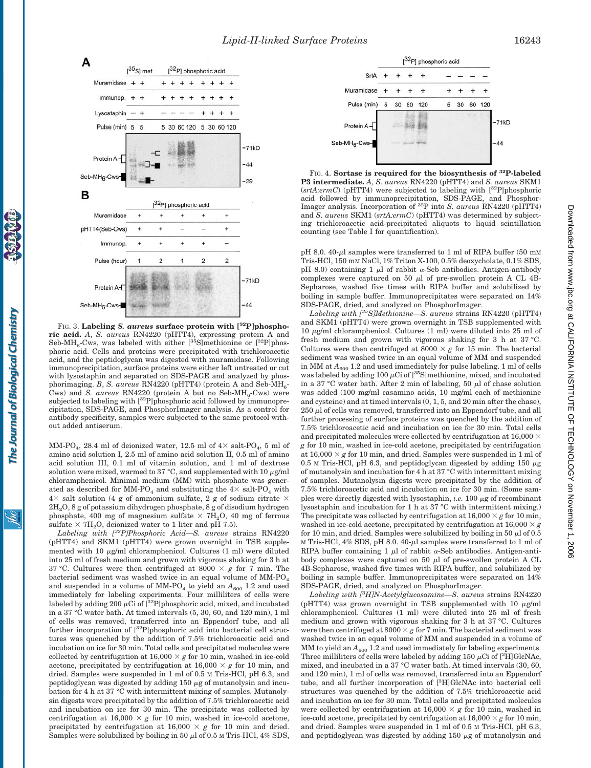

FIG. 3. **Labeling** *S. aureus* **surface protein with [32P]phosphoric acid.** *A*, *S. aureus* RN4220 (pHTT4), expressing protein A and Seb-MH<sub>6</sub>-Cws, was labeled with either [ $35$ S]methionine or  $[32P]$ phosphoric acid. Cells and proteins were precipitated with trichloroacetic acid, and the peptidoglycan was digested with muramidase. Following immunoprecipitation, surface proteins were either left untreated or cut with lysostaphin and separated on SDS-PAGE and analyzed by phosphorimaging. *B*, *S. aureus* RN4220 (pHTT4) (protein A and Seb-MH<sub>6</sub>-Cws) and *S. aureus* RN4220 (protein A but no Seb-MH<sub>6</sub>-Cws) were subjected to labeling with [32P]phosphoric acid followed by immunoprecipitation, SDS-PAGE, and PhosphorImager analysis. As a control for antibody specificity, samples were subjected to the same protocol without added antiserum.

The Journal of Biological Chemistry

<u>івс</u>

MM-PO<sub>4</sub>, 28.4 ml of deionized water, 12.5 ml of  $4 \times$  salt-PO<sub>4</sub>, 5 ml of amino acid solution I, 2.5 ml of amino acid solution II, 0.5 ml of amino acid solution III, 0.1 ml of vitamin solution, and 1 ml of dextrose solution were mixed, warmed to 37  $\degree$ C, and supplemented with 10  $\mu$ g/ml chloramphenicol. Minimal medium (MM) with phosphate was generated as described for MM-PO<sub>4</sub> and substituting the  $4 \times$  salt-PO<sub>4</sub> with  $4 \times$  salt solution (4 g of ammonium sulfate, 2 g of sodium citrate  $\times$  $2H<sub>2</sub>O$ , 8 g of potassium dihydrogen phosphate, 8 g of disodium hydrogen phosphate, 400 mg of magnesium sulfate  $\times$  7H<sub>2</sub>O, 40 mg of ferrous sulfate  $\times$  7H<sub>2</sub>O, deionized water to 1 liter and pH 7.5).

*Labeling with [32P]Phosphoric Acid—S. aureus* strains RN4220 (pHTT4) and SKM1 (pHTT4) were grown overnight in TSB supplemented with 10  $\mu$ g/ml chloramphenicol. Cultures (1 ml) were diluted into 25 ml of fresh medium and grown with vigorous shaking for 3 h at 37 °C. Cultures were then centrifuged at 8000  $\times$  g for 7 min. The bacterial sediment was washed twice in an equal volume of MM-PO and suspended in a volume of MM-PO<sub>4</sub> to yield an  $A_{600}$  1.2 and used immediately for labeling experiments. Four milliliters of cells were labeled by adding 200  $\mu$ Ci of [<sup>32</sup>P]phosphoric acid, mixed, and incubated in a 37 °C water bath. At timed intervals (5, 30, 60, and 120 min), 1 ml of cells was removed, transferred into an Eppendorf tube, and all further incorporation of  $[{}^{32}P]$ phosphoric acid into bacterial cell structures was quenched by the addition of 7.5% trichloroacetic acid and incubation on ice for 30 min. Total cells and precipitated molecules were collected by centrifugation at  $16,000 \times g$  for 10 min, washed in ice-cold acetone, precipitated by centrifugation at  $16,000 \times g$  for 10 min, and dried. Samples were suspended in 1 ml of 0.5 M Tris-HCl, pH 6.3, and peptidoglycan was digested by adding  $150 \mu$ g of mutanolysin and incubation for 4 h at 37 °C with intermittent mixing of samples. Mutanolysin digests were precipitated by the addition of 7.5% trichloroacetic acid and incubation on ice for 30 min. The precipitate was collected by centrifugation at  $16,000 \times g$  for 10 min, washed in ice-cold acetone, precipitated by centrifugation at  $16,000 \times g$  for 10 min and dried. Samples were solubilized by boiling in 50  $\mu$ l of 0.5 M Tris-HCl, 4% SDS,



FIG. 4. **Sortase is required for the biosynthesis of 32P-labeled P3 intermediate.** *A*, *S. aureus* RN4220 (pHTT4) and *S. aureus* SKM1 (*srtA:ermC*) (pHTT4) were subjected to labeling with [32P]phosphoric acid followed by immunoprecipitation, SDS-PAGE, and Phosphor-Imager analysis. Incorporation of 32P into *S. aureus* RN4220 (pHTT4) and *S. aureus* SKM1 (*srtA:ermC*) (pHTT4) was determined by subjecting trichloroacetic acid-precipitated aliquots to liquid scintillation counting (see Table I for quantification).

pH 8.0. 40- $\mu$ l samples were transferred to 1 ml of RIPA buffer (50 mm Tris-HCl, 150 mM NaCl, 1% Triton X-100, 0.5% deoxycholate, 0.1% SDS, pH 8.0) containing 1  $\mu$ l of rabbit  $\alpha$ -Seb antibodies. Antigen-antibody complexes were captured on 50  $\mu$ l of pre-swollen protein A CL 4B-Sepharose, washed five times with RIPA buffer and solubilized by boiling in sample buffer. Immunoprecipitates were separated on 14% SDS-PAGE, dried, and analyzed on PhosphorImager.

*Labeling with [35S]Methionine—S. aureus* strains RN4220 (pHTT4) and SKM1 (pHTT4) were grown overnight in TSB supplemented with 10  $\mu$ g/ml chloramphenicol. Cultures (1 ml) were diluted into 25 ml of fresh medium and grown with vigorous shaking for 3 h at 37 °C. Cultures were then centrifuged at  $8000 \times g$  for 15 min. The bacterial sediment was washed twice in an equal volume of MM and suspended in MM at  $A_{600}$  1.2 and used immediately for pulse labeling. 1 ml of cells was labeled by adding 100  $\mu$ Ci of [<sup>35</sup>S]methionine, mixed, and incubated in a 37 °C water bath. After 2 min of labeling, 50  $\mu$ l of chase solution was added (100 mg/ml casamino acids, 10 mg/ml each of methionine and cysteine) and at timed intervals (0, 1, 5, and 20 min after the chase),  $250~\mu$ l of cells was removed, transferred into an Eppendorf tube, and all further processing of surface proteins was quenched by the addition of 7.5% trichloroacetic acid and incubation on ice for 30 min. Total cells and precipitated molecules were collected by centrifugation at  $16,000 \times$ *g* for 10 min, washed in ice-cold acetone, precipitated by centrifugation at  $16,000 \times g$  for 10 min, and dried. Samples were suspended in 1 ml of 0.5 M Tris-HCl, pH 6.3, and peptidoglycan digested by adding 150  $\mu$ g of mutanolysin and incubation for 4 h at 37 °C with intermittent mixing of samples. Mutanolysin digests were precipitated by the addition of 7.5% trichloroacetic acid and incubation on ice for 30 min. (Some samples were directly digested with lysostaphin, *i.e.* 100  $\mu$ g of recombinant lysostaphin and incubation for 1 h at 37 °C with intermittent mixing.) The precipitate was collected by centrifugation at  $16,000 \times g$  for 10 min, washed in ice-cold acetone, precipitated by centrifugation at  $16,000 \times g$ for 10 min, and dried. Samples were solubilized by boiling in 50  $\mu$ l of 0.5 м Tris-HCl, 4% SDS, pH 8.0. 40- $\mu$ l samples were transferred to 1 ml of RIPA buffer containing 1  $\mu$ l of rabbit  $\alpha$ -Seb antibodies. Antigen-antibody complexes were captured on 50  $\mu$ l of pre-swollen protein A CL 4B-Sepharose, washed five times with RIPA buffer, and solubilized by boiling in sample buffer. Immunoprecipitates were separated on 14% SDS-PAGE, dried, and analyzed on PhosphorImager.

*Labeling with [3 H]N-Acetylglucosamine—S. aureus* strains RN4220 (pHTT4) was grown overnight in TSB supplemented with 10  $\mu$ g/ml chloramphenicol. Cultures (1 ml) were diluted into 25 ml of fresh medium and grown with vigorous shaking for 3 h at 37 °C. Cultures were then centrifuged at  $8000 \times g$  for 7 min. The bacterial sediment was washed twice in an equal volume of MM and suspended in a volume of MM to yield an  $A_{600}$  1.2 and used immediately for labeling experiments. Three milliliters of cells were labeled by adding  $150 \mu$ Ci of  $[^{3}H]$ GlcNAc, mixed, and incubated in a 37 °C water bath. At timed intervals (30, 60, and 120 min), 1 ml of cells was removed, transferred into an Eppendorf tube, and all further incorporation of [<sup>3</sup> H]GlcNAc into bacterial cell structures was quenched by the addition of 7.5% trichloroacetic acid and incubation on ice for 30 min. Total cells and precipitated molecules were collected by centrifugation at  $16,000 \times g$  for 10 min, washed in ice-cold acetone, precipitated by centrifugation at  $16,000 \times g$  for 10 min, and dried. Samples were suspended in 1 ml of 0.5 M Tris-HCl, pH 6.3, and peptidoglycan was digested by adding  $150 \mu$ g of mutanolysin and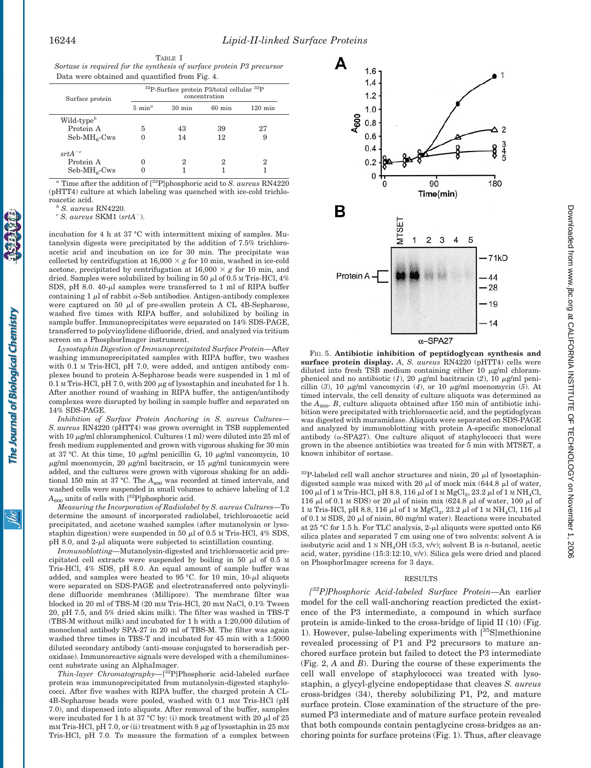| TABLE I                                                               |  |
|-----------------------------------------------------------------------|--|
| Sortase is required for the synthesis of surface protein P3 precursor |  |
| Data were obtained and quantified from Fig. 4.                        |  |

| Surface protein | $32P-Surface$ protein P3/total cellular $32P$<br>concentration |                  |                  |                   |
|-----------------|----------------------------------------------------------------|------------------|------------------|-------------------|
|                 | $5 \text{ min}^a$                                              | $30 \text{ min}$ | $60 \text{ min}$ | $120 \text{ min}$ |
| $Wild-typeb$    |                                                                |                  |                  |                   |
| Protein A       | 5                                                              | 43               | 39               | 27                |
| $Seb-MH6-Cws$   | 0                                                              | 14               | 12               | 9                 |
| $srtA^{-c}$     |                                                                |                  |                  |                   |
| Protein A       |                                                                |                  | 2                | 2                 |
| $Seb-MH6-Cws$   |                                                                |                  |                  |                   |
|                 |                                                                |                  |                  |                   |

*<sup>a</sup>* Time after the addition of [32P]phosphoric acid to *S. aureus* RN4220 (pHTT4) culture at which labeling was quenched with ice-cold trichloroacetic acid. *<sup>b</sup> S. aureus* RN4220. *<sup>c</sup> S. aureus* SKM1 (*srtA*).

The Journal of Biological Chemistry

jбс

incubation for 4 h at 37 °C with intermittent mixing of samples. Mutanolysin digests were precipitated by the addition of 7.5% trichloroacetic acid and incubation on ice for 30 min. The precipitate was collected by centrifugation at  $16,000 \times g$  for 10 min, washed in ice-cold acetone, precipitated by centrifugation at  $16,000 \times g$  for 10 min, and dried. Samples were solubilized by boiling in 50  $\mu$ l of 0.5 M Tris-HCl, 4% SDS, pH 8.0.  $40-\mu l$  samples were transferred to 1 ml of RIPA buffer containing 1  $\mu$ l of rabbit  $\alpha$ -Seb antibodies. Antigen-antibody complexes were captured on 50  $\mu$ l of pre-swollen protein A CL 4B-Sepharose, washed five times with RIPA buffer, and solubilized by boiling in sample buffer. Immunoprecipitates were separated on 14% SDS-PAGE, transferred to polyvinylidene difluoride, dried, and analyzed via tritium screen on a PhosphorImager instrument.

*Lysostaphin Digestion of Immunoprecipitated Surface Protein—*After washing immunoprecipitated samples with RIPA buffer, two washes with 0.1 M Tris-HCl, pH 7.0, were added, and antigen antibody complexes bound to protein A-Sepharose beads were suspended in 1 ml of  $0.1$  M Tris-HCl, pH 7.0, with 200  $\mu$ g of lysostaphin and incubated for 1 h. After another round of washing in RIPA buffer, the antigen/antibody complexes were disrupted by boiling in sample buffer and separated on 14% SDS-PAGE.

*Inhibition of Surface Protein Anchoring in S. aureus Cultures— S. aureus* RN4220 (pHTT4) was grown overnight in TSB supplemented with 10  $\mu$ g/ml chloramphenicol. Cultures (1 ml) were diluted into 25 ml of fresh medium supplemented and grown with vigorous shaking for 30 min at 37 °C. At this time, 10  $\mu$ g/ml penicillin G, 10  $\mu$ g/ml vancomycin, 10  $\mu$ g/ml moenomycin, 20  $\mu$ g/ml bacitracin, or 15  $\mu$ g/ml tunicamycin were added, and the cultures were grown with vigorous shaking for an additional 150 min at 37 °C. The  $A_{\rm 600}$  was recorded at timed intervals, and washed cells were suspended in small volumes to achieve labeling of 1.2  $A_{600}$  units of cells with  $[{}^{32}P]$ phosphoric acid.

*Measuring the Incorporation of Radiolabel by S. aureus Cultures—*To determine the amount of incorporated radiolabel, trichloroacetic acid precipitated, and acetone washed samples (after mutanolysin or lysostaphin digestion) were suspended in 50  $\mu$ l of 0.5 M Tris-HCl, 4% SDS,  $pH$  8.0, and 2- $\mu$ l aliquots were subjected to scintillation counting.

*Immunoblotting—*Mutanolysin-digested and trichloroacetic acid precipitated cell extracts were suspended by boiling in 50  $\mu$ l of 0.5 M Tris-HCl, 4% SDS, pH 8.0. An equal amount of sample buffer was added, and samples were heated to  $95^{\circ}$ C. for 10 min,  $10-\mu$ l aliquots were separated on SDS-PAGE and electrotransferred onto polyvinylidene difluoride membranes (Millipore). The membrane filter was blocked in 20 ml of TBS-M (20 mM Tris-HCl, 20 mM NaCl, 0.1% Tween 20, pH 7.5, and 5% dried skim milk). The filter was washed in TBS-T (TBS-M without milk) and incubated for 1 h with a 1:20,000 dilution of monoclonal antibody SPA-27 in 20 ml of TBS-M. The filter was again washed three times in TBS-T and incubated for 45 min with a 1:5000 diluted secondary antibody (anti-mouse conjugated to horseradish peroxidase). Immunoreactive signals were developed with a chemiluminescent substrate using an AlphaImager.

*Thin-layer Chromatography—*[ 32P]Phosphoric acid-labeled surface protein was immunoprecipitated from mutanolysin-digested staphylococci. After five washes with RIPA buffer, the charged protein A CL-4B-Sepharose beads were pooled, washed with 0.1 mM Tris-HCl (pH 7.0), and dispensed into aliquots. After removal of the buffer, samples were incubated for 1 h at 37 °C by: (i) mock treatment with 20  $\mu$ l of 25  $\text{mm}$  Tris-HCl, pH 7.0, or (ii) treatment with 8  $\mu$ g of lysostaphin in 25 mm Tris-HCl, pH 7.0. To measure the formation of a complex between



FIG. 5. **Antibiotic inhibition of peptidoglycan synthesis and surface protein display.** *A*, *S. aureus* RN4220 (pHTT4) cells were diluted into fresh TSB medium containing either 10  $\mu$ g/ml chloramphenicol and no antibiotic  $(1)$ , 20  $\mu$ g/ml bacitracin  $(2)$ , 10  $\mu$ g/ml penicillin  $(3)$ , 10  $\mu$ g/ml vancomycin  $(4)$ , or 10  $\mu$ g/ml moenomycin  $(5)$ . At timed intervals, the cell density of culture aliquots was determined as the  $A_{600}$ . *B*, culture aliquots obtained after 150 min of antibiotic inhibition were precipitated with trichloroacetic acid, and the peptidoglycan was digested with muramidase. Aliquots were separated on SDS-PAGE and analyzed by immunoblotting with protein A-specific monoclonal antibody ( $\alpha$ -SPA27). One culture aliquot of staphylococci that were grown in the absence antibiotics was treated for 5 min with MTSET, a known inhibitor of sortase.

 $32P$ -labeled cell wall anchor structures and nisin, 20  $\mu$ l of lysostaphindigested sample was mixed with 20  $\mu$ l of mock mix (644.8  $\mu$ l of water, 100 μl of 1 м Tris-HCl, pH 8.8, 116 μl of 1 м MgCl<sub>2</sub>, 23.2 μl of 1 м NH<sub>4</sub>Cl, 116  $\mu$ l of 0.1 M SDS) or 20  $\mu$ l of nisin mix (624.8  $\mu$ l of water, 100  $\mu$ l of  $1$  M Tris-HCl, pH 8.8, 116  $\mu$ l of 1 M  $\mathrm{MgCl}_2$ , 23.2  $\mu$ l of 1 M NH<sub>4</sub>Cl, 116  $\mu$ l of 0.1 M SDS, 20  $\mu$ l of nisin, 80 mg/ml water). Reactions were incubated at 25 °C for 1.5 h. For TLC analysis, 2- $\mu$ l aliquots were spotted onto K6 silica plates and separated 7 cm using one of two solvents: solvent A is isobutyric acid and 1 <sup>N</sup> NH4OH (5:3, v/v); solvent B is *n*-butanol, acetic acid, water, pyridine (15:3:12:10, v/v). Silica gels were dried and placed on PhosphorImager screens for 3 days.

## RESULTS

*[ 32P]Phosphoric Acid-labeled Surface Protein—*An earlier model for the cell wall-anchoring reaction predicted the existence of the P3 intermediate, a compound in which surface protein is amide-linked to the cross-bridge of lipid II (10) (Fig. 1). However, pulse-labeling experiments with  $[^{35}S]$ methionine revealed processing of P1 and P2 precursors to mature anchored surface protein but failed to detect the P3 intermediate (Fig. 2, *A* and *B*). During the course of these experiments the cell wall envelope of staphylococci was treated with lysostaphin, a glycyl-glycine endopeptidase that cleaves *S. aureus* cross-bridges (34), thereby solubilizing P1, P2, and mature surface protein. Close examination of the structure of the presumed P3 intermediate and of mature surface protein revealed that both compounds contain pentaglycine cross-bridges as anchoring points for surface proteins (Fig. 1). Thus, after cleavage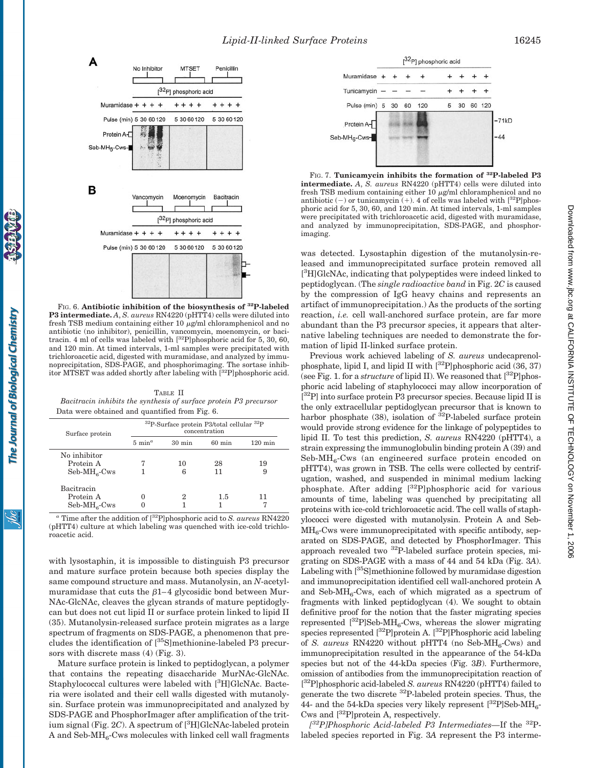

FIG. 6. **Antibiotic inhibition of the biosynthesis of 32P-labeled P3 intermediate.** *A*, *S. aureus* RN4220 (pHTT4) cells were diluted into fresh TSB medium containing either 10  $\mu$ g/ml chloramphenicol and no antibiotic (no inhibitor), penicillin, vancomycin, moenomycin, or bacitracin. 4 ml of cells was labeled with  $[^{32}P]$ phosphoric acid for 5, 30, 60, and 120 min. At timed intervals, 1-ml samples were precipitated with trichloroacetic acid, digested with muramidase, and analyzed by immunoprecipitation, SDS-PAGE, and phosphorimaging. The sortase inhibitor MTSET was added shortly after labeling with [32P]phosphoric acid.

TABLE II *Bacitracin inhibits the synthesis of surface protein P3 precursor* Data were obtained and quantified from Fig. 6.

| Surface protein                            | $32P-Surface$ protein P3/total cellular $32P$<br>concentration |                  |                  |                   |
|--------------------------------------------|----------------------------------------------------------------|------------------|------------------|-------------------|
|                                            | $5 \text{ min}^a$                                              | $30 \text{ min}$ | $60 \text{ min}$ | $120 \text{ min}$ |
| No inhibitor<br>Protein A<br>$Seb-MH6-Cws$ |                                                                | 10<br>6          | 28<br>11         | 19<br>9           |
| Bacitracin<br>Protein A<br>$Seb-MH6-Cws$   |                                                                | 2                | 1.5              | 11                |

 $^a$  Time after the addition of  $[^{32}{\rm P}]$  phosphoric acid to  $S.$   $aureus$  RN4220 (pHTT4) culture at which labeling was quenched with ice-cold trichloroacetic acid.

with lysostaphin, it is impossible to distinguish P3 precursor and mature surface protein because both species display the same compound structure and mass. Mutanolysin, an *N*-acetylmuramidase that cuts the  $\beta$ 1–4 glycosidic bond between Mur-NAc-GlcNAc, cleaves the glycan strands of mature peptidoglycan but does not cut lipid II or surface protein linked to lipid II (35). Mutanolysin-released surface protein migrates as a large spectrum of fragments on SDS-PAGE, a phenomenon that precludes the identification of [35S]methionine-labeled P3 precursors with discrete mass (4) (Fig. 3).

Mature surface protein is linked to peptidoglycan, a polymer that contains the repeating disaccharide MurNAc-GlcNAc. Staphylococcal cultures were labeled with [3H]GlcNAc. Bacteria were isolated and their cell walls digested with mutanolysin. Surface protein was immunoprecipitated and analyzed by SDS-PAGE and PhosphorImager after amplification of the tritium signal (Fig. 2C). A spectrum of [<sup>3</sup>H]GlcNAc-labeled protein A and Seb- $MH<sub>6</sub>-Cws$  molecules with linked cell wall fragments



FIG. 7. **Tunicamycin inhibits the formation of 32P-labeled P3 intermediate.** *A*, *S. aureus* RN4220 (pHTT4) cells were diluted into fresh TSB medium containing either 10  $\mu$ g/ml chloramphenicol and no antibiotic  $(-)$  or tunicamycin  $(+)$ . 4 of cells was labeled with  $[^{32}P]$ phosphoric acid for 5, 30, 60, and 120 min. At timed intervals, 1-ml samples were precipitated with trichloroacetic acid, digested with muramidase, and analyzed by immunoprecipitation, SDS-PAGE, and phosphorimaging.

was detected. Lysostaphin digestion of the mutanolysin-released and immunoprecipitated surface protein removed all [<sup>3</sup>H]GlcNAc, indicating that polypeptides were indeed linked to peptidoglycan. (The *single radioactive band* in Fig. 2*C* is caused by the compression of IgG heavy chains and represents an artifact of immunoprecipitation.) As the products of the sorting reaction, *i.e.* cell wall-anchored surface protein, are far more abundant than the P3 precursor species, it appears that alternative labeling techniques are needed to demonstrate the formation of lipid II-linked surface protein.

Previous work achieved labeling of *S. aureus* undecaprenolphosphate, lipid I, and lipid II with  $\binom{32}{7}$  phosphoric acid (36, 37) (see Fig. 1. for a *structure* of lipid II). We reasoned that  $\binom{32}{1}$  phosphoric acid labeling of staphylococci may allow incorporation of <sup>[32</sup>P] into surface protein P3 precursor species. Because lipid II is the only extracellular peptidoglycan precursor that is known to harbor phosphate  $(38)$ , isolation of <sup>32</sup>P-labeled surface protein would provide strong evidence for the linkage of polypeptides to lipid II. To test this prediction, *S. aureus* RN4220 (pHTT4), a strain expressing the immunoglobulin binding protein A (39) and  $Seb-MH<sub>6</sub>$ -Cws (an engineered surface protein encoded on pHTT4), was grown in TSB. The cells were collected by centrifugation, washed, and suspended in minimal medium lacking phosphate. After adding  $[3^2P]$ phosphoric acid for various amounts of time, labeling was quenched by precipitating all proteins with ice-cold trichloroacetic acid. The cell walls of staphylococci were digested with mutanolysin. Protein A and Seb- $MH<sub>6</sub>$ -Cws were immunoprecipitated with specific antibody, separated on SDS-PAGE, and detected by PhosphorImager. This approach revealed two  $^{32}P$ -labeled surface protein species, migrating on SDS-PAGE with a mass of 44 and 54 kDa (Fig. 3*A*). Labeling with  $\left[^{35}S\right]$ methionine followed by muramidase digestion and immunoprecipitation identified cell wall-anchored protein A and Seb-MH<sub>6</sub>-Cws, each of which migrated as a spectrum of fragments with linked peptidoglycan (4). We sought to obtain definitive proof for the notion that the faster migrating species represented  $\left[^{32}P\right]$ Seb-MH<sub>6</sub>-Cws, whereas the slower migrating species represented  $\left[\begin{smallmatrix} 32 \ 2 \end{smallmatrix}\right]$  protein A.  $\left[\begin{smallmatrix} 32 \ 2 \end{smallmatrix}\right]$  Phosphoric acid labeling of *S. aureus* RN4220 without pHTT4 (no Seb-MH<sub>6</sub>-Cws) and immunoprecipitation resulted in the appearance of the 54-kDa species but not of the 44-kDa species (Fig. 3*B*). Furthermore, omission of antibodies from the immunoprecipitation reaction of [ 32P]phosphoric acid-labeled *S. aureus* RN4220 (pHTT4) failed to generate the two discrete 32P-labeled protein species. Thus, the 44- and the 54-kDa species very likely represent  $\binom{32}{1}$ Seb-MH<sub>6</sub>-Cws and  $[{}^{32}P]$ protein A, respectively.

*[ 32P]Phosphoric Acid-labeled P3 Intermediates—*If the 32Plabeled species reported in Fig. 3*A* represent the P3 interme-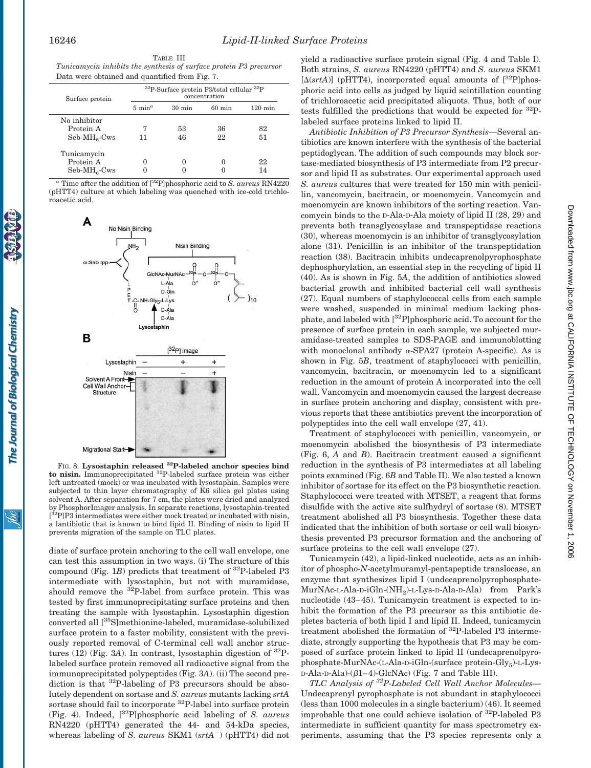| Surface protein | $32P$ -Surface protein P3/total cellular $32P$<br>concentration |                  |                  |                   |
|-----------------|-----------------------------------------------------------------|------------------|------------------|-------------------|
|                 | $5 \text{ min}^a$                                               | $30 \text{ min}$ | $60 \text{ min}$ | $120 \text{ min}$ |
| No inhibitor    |                                                                 |                  |                  |                   |
| Protein A       |                                                                 | 53               | 36               | 82                |
| $Seb-MH6-Cws$   | 11                                                              | 46               | 22               | 51                |
| Tunicamycin     |                                                                 |                  |                  |                   |
| Protein A       |                                                                 | 0                |                  | 22                |
| $Seb-MH6-Cws$   |                                                                 |                  |                  | 14                |

*<sup>a</sup>* Time after the addition of [32P]phosphoric acid to *S. aureus* RN4220 (pHTT4) culture at which labeling was quenched with ice-cold trichloroacetic acid.



FIG. 8. **Lysostaphin released 32P-labeled anchor species bind to nisin.** Immunoprecipitated 32P-labeled surface protein was either left untreated (mock) or was incubated with lysostaphin. Samples were subjected to thin layer chromatography of K6 silica gel plates using solvent A. After separation for 7 cm, the plates were dried and analyzed by PhosphorImager analysis. In separate reactions, lysostaphin-treated [<sup>32</sup>P]P3 intermediates were either mock treated or incubated with nisin, a lantibiotic that is known to bind lipid II. Binding of nisin to lipid II prevents migration of the sample on TLC plates.

diate of surface protein anchoring to the cell wall envelope, one can test this assumption in two ways. (i) The structure of this compound (Fig.  $1B$ ) predicts that treatment of  $32P$ -labeled P3 intermediate with lysostaphin, but not with muramidase, should remove the 32P-label from surface protein. This was tested by first immunoprecipitating surface proteins and then treating the sample with lysostaphin. Lysostaphin digestion converted all [35S]methionine-labeled, muramidase-solubilized surface protein to a faster mobility, consistent with the previously reported removal of C-terminal cell wall anchor structures (12) (Fig. 3A). In contrast, lysostaphin digestion of  ${}^{32}P$ labeled surface protein removed all radioactive signal from the immunoprecipitated polypeptides (Fig. 3*A*). (ii) The second prediction is that  ${}^{32}P$ -labeling of P3 precursors should be absolutely dependent on sortase and *S. aureus* mutants lacking *srtA* sortase should fail to incorporate <sup>32</sup>P-label into surface protein (Fig. 4). Indeed, [32P]phosphoric acid labeling of *S. aureus* RN4220 (pHTT4) generated the 44- and 54-kDa species, whereas labeling of *S. aureus* SKM1 ( $srtA$ <sup>-</sup>) (pHTT4) did not yield a radioactive surface protein signal (Fig. 4 and Table I). Both strains, *S. aureus* RN4220 (pHTT4) and *S. aureus* SKM1  $[\Delta(\text{srtA})]$  (pHTT4), incorporated equal amounts of  $[^{32}P]$ phosphoric acid into cells as judged by liquid scintillation counting of trichloroacetic acid precipitated aliquots. Thus, both of our tests fulfilled the predictions that would be expected for 32Plabeled surface proteins linked to lipid II.

*Antibiotic Inhibition of P3 Precursor Synthesis—*Several antibiotics are known interfere with the synthesis of the bacterial peptidoglycan. The addition of such compounds may block sortase-mediated biosynthesis of P3 intermediate from P2 precursor and lipid II as substrates. Our experimental approach used *S. aureus* cultures that were treated for 150 min with penicillin, vancomycin, bacitracin, or moenomycin. Vancomycin and moenomycin are known inhibitors of the sorting reaction. Vancomycin binds to the D-Ala-D-Ala moiety of lipid II (28, 29) and prevents both transglycosylase and transpeptidase reactions (30), whereas moenomycin is an inhibitor of transglycosylation alone (31). Penicillin is an inhibitor of the transpeptidation reaction (38). Bacitracin inhibits undecaprenolpyrophosphate dephosphorylation, an essential step in the recycling of lipid II (40). As is shown in Fig. 5*A*, the addition of antibiotics slowed bacterial growth and inhibited bacterial cell wall synthesis (27). Equal numbers of staphylococcal cells from each sample were washed, suspended in minimal medium lacking phosphate, and labeled with [32P]phosphoric acid. To account for the presence of surface protein in each sample, we subjected muramidase-treated samples to SDS-PAGE and immunoblotting with monoclonal antibody  $\alpha$ -SPA27 (protein A-specific). As is shown in Fig. 5*B*, treatment of staphylococci with penicillin, vancomycin, bacitracin, or moenomycin led to a significant reduction in the amount of protein A incorporated into the cell wall. Vancomycin and moenomycin caused the largest decrease in surface protein anchoring and display, consistent with previous reports that these antibiotics prevent the incorporation of polypeptides into the cell wall envelope (27, 41).

Treatment of staphylococci with penicillin, vancomycin, or moenomycin abolished the biosynthesis of P3 intermediate (Fig. 6, *A* and *B*). Bacitracin treatment caused a significant reduction in the synthesis of P3 intermediates at all labeling points examined (Fig. 6*B* and Table II). We also tested a known inhibitor of sortase for its effect on the P3 biosynthetic reaction. Staphylococci were treated with MTSET, a reagent that forms disulfide with the active site sulfhydryl of sortase (8). MTSET treatment abolished all P3 biosynthesis. Together these data indicated that the inhibition of both sortase or cell wall biosynthesis prevented P3 precursor formation and the anchoring of surface proteins to the cell wall envelope (27).

Tunicamycin (42), a lipid-linked nucleotide, acts as an inhibitor of phospho-*N*-acetylmuramyl-pentapeptide translocase, an enzyme that synthesizes lipid I (undecaprenolpyrophosphate-MurNAc-L-Ala-D-iGln-(NH2)-L-Lys-D-Ala-D-Ala) from Park's nucleotide (43–45). Tunicamycin treatment is expected to inhibit the formation of the P3 precursor as this antibiotic depletes bacteria of both lipid I and lipid II. Indeed, tunicamycin treatment abolished the formation of 32P-labeled P3 intermediate, strongly supporting the hypothesis that P3 may be composed of surface protein linked to lipid II (undecaprenolpyrophosphate-MurNAc-(L-Ala-D-iGln-(surface protein-Gly<sub>5</sub>)-L-Lys- $D-Ala-D-Ala$ )- $(\beta1-4)$ -GlcNAc) (Fig. 7 and Table III).

*TLC Analysis of 32P-Labeled Cell Wall Anchor Molecules—* Undecaprenyl pyrophosphate is not abundant in staphylococci (less than 1000 molecules in a single bacterium) (46). It seemed improbable that one could achieve isolation of 32P-labeled P3 intermediate in sufficient quantity for mass spectrometry experiments, assuming that the P3 species represents only a

ibc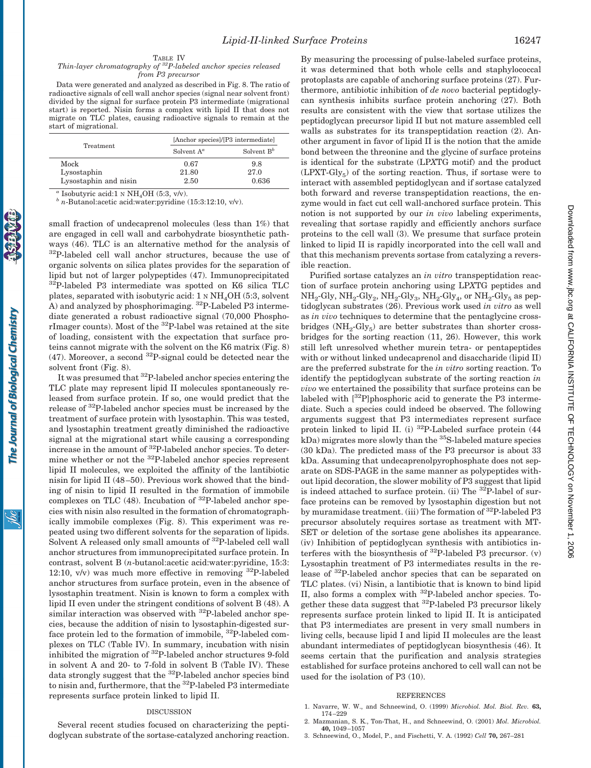TABLE IV

### *Thin-layer chromatography of 32P-labeled anchor species released from P3 precursor*

Data were generated and analyzed as described in Fig. 8. The ratio of radioactive signals of cell wall anchor species (signal near solvent front) divided by the signal for surface protein P3 intermediate (migrational start) is reported. Nisin forms a complex with lipid II that does not migrate on TLC plates, causing radioactive signals to remain at the start of migrational.

| Treatment             |               | [Anchor species]/[P3 intermediate] |  |  |
|-----------------------|---------------|------------------------------------|--|--|
|                       | Solvent $A^a$ | Solvent $B^b$                      |  |  |
| Mock                  | 0.67          | 9.8                                |  |  |
| Lysostaphin           | 21.80         | 27.0                               |  |  |
| Lysostaphin and nisin | 2.50          | 0.636                              |  |  |

small fraction of undecaprenol molecules (less than 1%) that are engaged in cell wall and carbohydrate biosynthetic pathways (46). TLC is an alternative method for the analysis of 32P-labeled cell wall anchor structures, because the use of organic solvents on silica plates provides for the separation of lipid but not of larger polypeptides (47). Immunoprecipitated 32P-labeled P3 intermediate was spotted on K6 silica TLC plates, separated with isobutyric acid:  $1 \text{ N} \text{ H}_4\text{OH}$  (5:3, solvent A) and analyzed by phosphorimaging. 32P-Labeled P3 intermediate generated a robust radioactive signal (70,000 PhosphorImager counts). Most of the 32P-label was retained at the site of loading, consistent with the expectation that surface proteins cannot migrate with the solvent on the K6 matrix (Fig. 8)  $(47)$ . Moreover, a second  $^{32}P$ -signal could be detected near the

It was presumed that 32P-labeled anchor species entering the TLC plate may represent lipid II molecules spontaneously released from surface protein. If so, one would predict that the release of 32P-labeled anchor species must be increased by the treatment of surface protein with lysostaphin. This was tested, and lysostaphin treatment greatly diminished the radioactive signal at the migrational start while causing a corresponding increase in the amount of 32P-labeled anchor species. To determine whether or not the 32P-labeled anchor species represent lipid II molecules, we exploited the affinity of the lantibiotic nisin for lipid II (48–50). Previous work showed that the binding of nisin to lipid II resulted in the formation of immobile complexes on TLC (48). Incubation of 32P-labeled anchor species with nisin also resulted in the formation of chromatographically immobile complexes (Fig. 8). This experiment was repeated using two different solvents for the separation of lipids. Solvent A released only small amounts of <sup>32</sup>P-labeled cell wall anchor structures from immunoprecipitated surface protein. In contrast, solvent B (*n*-butanol:acetic acid:water:pyridine, 15:3: 12:10,  $v/v$ ) was much more effective in removing  $^{32}P$ -labeled anchor structures from surface protein, even in the absence of lysostaphin treatment. Nisin is known to form a complex with lipid II even under the stringent conditions of solvent B (48). A similar interaction was observed with <sup>32</sup>P-labeled anchor species, because the addition of nisin to lysostaphin-digested surface protein led to the formation of immobile, 32P-labeled complexes on TLC (Table IV). In summary, incubation with nisin inhibited the migration of 32P-labeled anchor structures 9-fold in solvent A and 20- to 7-fold in solvent B (Table IV). These data strongly suggest that the <sup>32</sup>P-labeled anchor species bind to nisin and, furthermore, that the 32P-labeled P3 intermediate

solvent front (Fig. 8).

*<sup>a</sup>* Isobutyric acid:1 <sup>N</sup> NH4OH (5:3, v/v). *<sup>b</sup> <sup>n</sup>*-Butanol:acetic acid:water:pyridine (15:3:12:10, v/v).

By measuring the processing of pulse-labeled surface proteins, it was determined that both whole cells and staphylococcal protoplasts are capable of anchoring surface proteins (27). Furthermore, antibiotic inhibition of *de novo* bacterial peptidoglycan synthesis inhibits surface protein anchoring (27). Both results are consistent with the view that sortase utilizes the peptidoglycan precursor lipid II but not mature assembled cell walls as substrates for its transpeptidation reaction (2). Another argument in favor of lipid II is the notion that the amide bond between the threonine and the glycine of surface proteins is identical for the substrate (LP*X*TG motif) and the product  $(LPXT-Gly<sub>5</sub>)$  of the sorting reaction. Thus, if sortase were to interact with assembled peptidoglycan and if sortase catalyzed both forward and reverse transpeptidation reactions, the enzyme would in fact cut cell wall-anchored surface protein. This notion is not supported by our *in vivo* labeling experiments, revealing that sortase rapidly and efficiently anchors surface proteins to the cell wall (3). We presume that surface protein linked to lipid II is rapidly incorporated into the cell wall and that this mechanism prevents sortase from catalyzing a reversible reaction.

Purified sortase catalyzes an *in vitro* transpeptidation reaction of surface protein anchoring using LP*X*TG peptides and  $NH_2$ -Gly,  $NH_2$ -Gly<sub>2</sub>,  $NH_2$ -Gly<sub>3</sub>,  $NH_2$ -Gly<sub>4</sub>, or  $NH_2$ -Gly<sub>5</sub> as peptidoglycan substrates (26). Previous work used *in vitro* as well as *in vivo* techniques to determine that the pentaglycine crossbridges  $(NH_2-Gly_5)$  are better substrates than shorter crossbridges for the sorting reaction (11, 26). However, this work still left unresolved whether murein tetra- or pentapeptides with or without linked undecaprenol and disaccharide (lipid II) are the preferred substrate for the *in vitro* sorting reaction. To identify the peptidoglycan substrate of the sorting reaction *in vivo* we entertained the possibility that surface proteins can be labeled with [<sup>32</sup>P]phosphoric acid to generate the P3 intermediate. Such a species could indeed be observed. The following arguments suggest that P3 intermediates represent surface protein linked to lipid II. (i)  $^{32}P$ -Labeled surface protein (44  $kDa$ ) migrates more slowly than the  ${}^{35}S$ -labeled mature species (30 kDa). The predicted mass of the P3 precursor is about 33 kDa. Assuming that undecaprenolpyrophosphate does not separate on SDS-PAGE in the same manner as polypeptides without lipid decoration, the slower mobility of P3 suggest that lipid is indeed attached to surface protein. (ii) The <sup>32</sup>P-label of surface proteins can be removed by lysostaphin digestion but not by muramidase treatment. (iii) The formation of <sup>32</sup>P-labeled P3 precursor absolutely requires sortase as treatment with MT-SET or deletion of the sortase gene abolishes its appearance. (iv) Inhibition of peptidoglycan synthesis with antibiotics interferes with the biosynthesis of  $^{32}P$ -labeled P3 precursor. (v) Lysostaphin treatment of P3 intermediates results in the release of 32P-labeled anchor species that can be separated on TLC plates. (vi) Nisin, a lantibiotic that is known to bind lipid II, also forms a complex with 32P-labeled anchor species. Together these data suggest that 32P-labeled P3 precursor likely represents surface protein linked to lipid II. It is anticipated that P3 intermediates are present in very small numbers in living cells, because lipid I and lipid II molecules are the least abundant intermediates of peptidoglycan biosynthesis (46). It seems certain that the purification and analysis strategies established for surface proteins anchored to cell wall can not be used for the isolation of P3 (10).

#### REFERENCES

- 1. Navarre, W. W., and Schneewind, O. (1999) *Microbiol. Mol. Biol. Rev.* **63,** 174–229
- 2. Mazmanian, S. K., Ton-That, H., and Schneewind, O. (2001) *Mol. Microbiol.* **40,** 1049–1057
- 3. Schneewind, O., Model, P., and Fischetti, V. A. (1992) *Cell* **70,** 267–281

Several recent studies focused on characterizing the peptidoglycan substrate of the sortase-catalyzed anchoring reaction.

DISCUSSION

represents surface protein linked to lipid II.